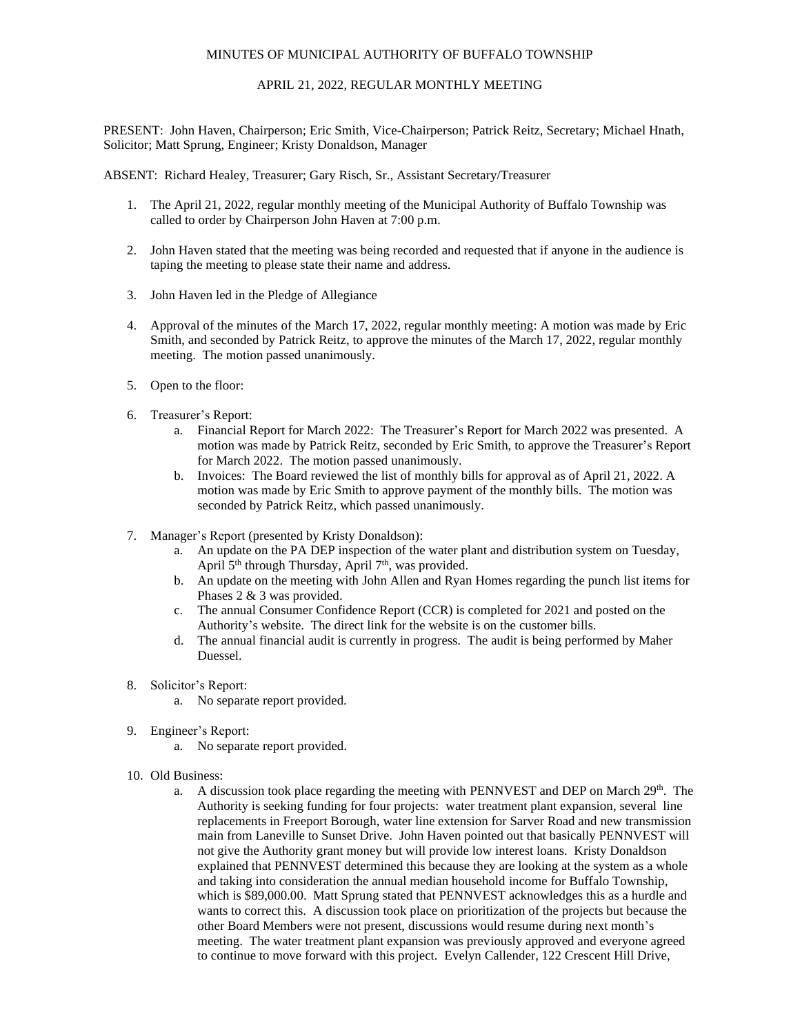## MINUTES OF MUNICIPAL AUTHORITY OF BUFFALO TOWNSHIP

## APRIL 21, 2022, REGULAR MONTHLY MEETING

PRESENT: John Haven, Chairperson; Eric Smith, Vice-Chairperson; Patrick Reitz, Secretary; Michael Hnath, Solicitor; Matt Sprung, Engineer; Kristy Donaldson, Manager

ABSENT: Richard Healey, Treasurer; Gary Risch, Sr., Assistant Secretary/Treasurer

- 1. The April 21, 2022, regular monthly meeting of the Municipal Authority of Buffalo Township was called to order by Chairperson John Haven at 7:00 p.m.
- 2. John Haven stated that the meeting was being recorded and requested that if anyone in the audience is taping the meeting to please state their name and address.
- 3. John Haven led in the Pledge of Allegiance
- 4. Approval of the minutes of the March 17, 2022, regular monthly meeting: A motion was made by Eric Smith, and seconded by Patrick Reitz, to approve the minutes of the March 17, 2022, regular monthly meeting. The motion passed unanimously.
- 5. Open to the floor:
- 6. Treasurer's Report:
	- a. Financial Report for March 2022: The Treasurer's Report for March 2022 was presented. A motion was made by Patrick Reitz, seconded by Eric Smith, to approve the Treasurer's Report for March 2022. The motion passed unanimously.
	- b. Invoices: The Board reviewed the list of monthly bills for approval as of April 21, 2022. A motion was made by Eric Smith to approve payment of the monthly bills. The motion was seconded by Patrick Reitz, which passed unanimously.
- 7. Manager's Report (presented by Kristy Donaldson):
	- a. An update on the PA DEP inspection of the water plant and distribution system on Tuesday, April 5<sup>th</sup> through Thursday, April 7<sup>th</sup>, was provided.
	- b. An update on the meeting with John Allen and Ryan Homes regarding the punch list items for Phases 2 & 3 was provided.
	- c. The annual Consumer Confidence Report (CCR) is completed for 2021 and posted on the Authority's website. The direct link for the website is on the customer bills.
	- d. The annual financial audit is currently in progress. The audit is being performed by Maher Duessel.
- 8. Solicitor's Report:
	- a. No separate report provided.
- 9. Engineer's Report:
	- a. No separate report provided.
- 10. Old Business:
	- a. A discussion took place regarding the meeting with PENNVEST and DEP on March 29<sup>th</sup>. The Authority is seeking funding for four projects: water treatment plant expansion, several line replacements in Freeport Borough, water line extension for Sarver Road and new transmission main from Laneville to Sunset Drive. John Haven pointed out that basically PENNVEST will not give the Authority grant money but will provide low interest loans. Kristy Donaldson explained that PENNVEST determined this because they are looking at the system as a whole and taking into consideration the annual median household income for Buffalo Township, which is \$89,000.00. Matt Sprung stated that PENNVEST acknowledges this as a hurdle and wants to correct this. A discussion took place on prioritization of the projects but because the other Board Members were not present, discussions would resume during next month's meeting. The water treatment plant expansion was previously approved and everyone agreed to continue to move forward with this project. Evelyn Callender, 122 Crescent Hill Drive,